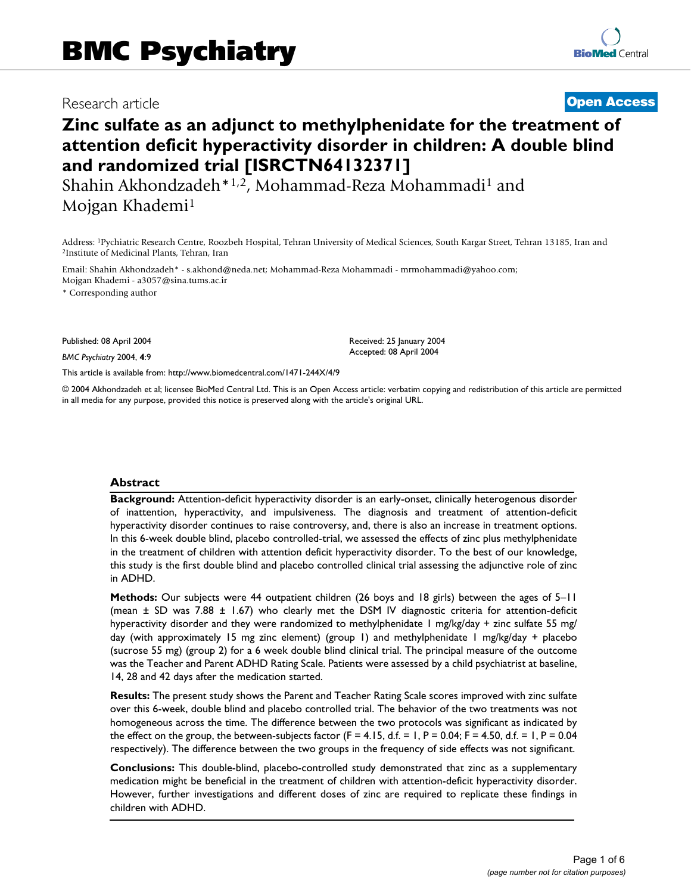# Research article **[Open Access](http://www.biomedcentral.com/info/about/charter/)**

# **Zinc sulfate as an adjunct to methylphenidate for the treatment of attention deficit hyperactivity disorder in children: A double blind and randomized trial [ISRCTN64132371]**

Shahin Akhondzadeh\*1,2, Mohammad-Reza Mohammadi1 and Mojgan Khademi1

Address: <sup>1</sup>Pychiatric Research Centre, Roozbeh Hospital, Tehran University of Medical Sciences, South Kargar Street, Tehran 13185, Iran and <sup>2</sup>Institute of Medicinal Plants, Tehran, Iran

Email: Shahin Akhondzadeh\* - s.akhond@neda.net; Mohammad-Reza Mohammadi - mrmohammadi@yahoo.com; Mojgan Khademi - a3057@sina.tums.ac.ir

\* Corresponding author

Published: 08 April 2004

*BMC Psychiatry* 2004, **4**:9

[This article is available from: http://www.biomedcentral.com/1471-244X/4/9](http://www.biomedcentral.com/1471-244X/4/9)

© 2004 Akhondzadeh et al; licensee BioMed Central Ltd. This is an Open Access article: verbatim copying and redistribution of this article are permitted in all media for any purpose, provided this notice is preserved along with the article's original URL.

Received: 25 January 2004 Accepted: 08 April 2004

### **Abstract**

**Background:** Attention-deficit hyperactivity disorder is an early-onset, clinically heterogenous disorder of inattention, hyperactivity, and impulsiveness. The diagnosis and treatment of attention-deficit hyperactivity disorder continues to raise controversy, and, there is also an increase in treatment options. In this 6-week double blind, placebo controlled-trial, we assessed the effects of zinc plus methylphenidate in the treatment of children with attention deficit hyperactivity disorder. To the best of our knowledge, this study is the first double blind and placebo controlled clinical trial assessing the adjunctive role of zinc in ADHD.

**Methods:** Our subjects were 44 outpatient children (26 boys and 18 girls) between the ages of 5–11 (mean  $\pm$  SD was 7.88  $\pm$  1.67) who clearly met the DSM IV diagnostic criteria for attention-deficit hyperactivity disorder and they were randomized to methylphenidate 1 mg/kg/day + zinc sulfate 55 mg/ day (with approximately 15 mg zinc element) (group 1) and methylphenidate 1 mg/kg/day + placebo (sucrose 55 mg) (group 2) for a 6 week double blind clinical trial. The principal measure of the outcome was the Teacher and Parent ADHD Rating Scale. Patients were assessed by a child psychiatrist at baseline, 14, 28 and 42 days after the medication started.

**Results:** The present study shows the Parent and Teacher Rating Scale scores improved with zinc sulfate over this 6-week, double blind and placebo controlled trial. The behavior of the two treatments was not homogeneous across the time. The difference between the two protocols was significant as indicated by the effect on the group, the between-subjects factor  $(F = 4.15, d.f. = 1, P = 0.04; F = 4.50, d.f. = 1, P = 0.04$ respectively). The difference between the two groups in the frequency of side effects was not significant.

**Conclusions:** This double-blind, placebo-controlled study demonstrated that zinc as a supplementary medication might be beneficial in the treatment of children with attention-deficit hyperactivity disorder. However, further investigations and different doses of zinc are required to replicate these findings in children with ADHD.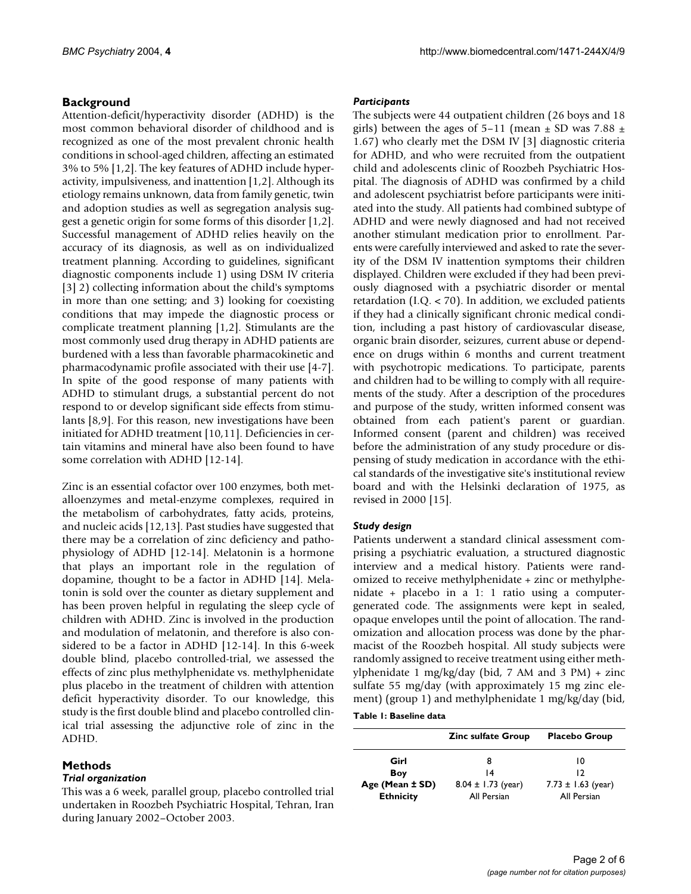# **Background**

Attention-deficit/hyperactivity disorder (ADHD) is the most common behavioral disorder of childhood and is recognized as one of the most prevalent chronic health conditions in school-aged children, affecting an estimated 3% to 5% [1,2]. The key features of ADHD include hyperactivity, impulsiveness, and inattention [1,2]. Although its etiology remains unknown, data from family genetic, twin and adoption studies as well as segregation analysis suggest a genetic origin for some forms of this disorder [1,2]. Successful management of ADHD relies heavily on the accuracy of its diagnosis, as well as on individualized treatment planning. According to guidelines, significant diagnostic components include 1) using DSM IV criteria [3] 2) collecting information about the child's symptoms in more than one setting; and 3) looking for coexisting conditions that may impede the diagnostic process or complicate treatment planning [1,2]. Stimulants are the most commonly used drug therapy in ADHD patients are burdened with a less than favorable pharmacokinetic and pharmacodynamic profile associated with their use [4-7]. In spite of the good response of many patients with ADHD to stimulant drugs, a substantial percent do not respond to or develop significant side effects from stimulants [8,9]. For this reason, new investigations have been initiated for ADHD treatment [10,11]. Deficiencies in certain vitamins and mineral have also been found to have some correlation with ADHD [12-14].

Zinc is an essential cofactor over 100 enzymes, both metalloenzymes and metal-enzyme complexes, required in the metabolism of carbohydrates, fatty acids, proteins, and nucleic acids [12,13]. Past studies have suggested that there may be a correlation of zinc deficiency and pathophysiology of ADHD [12-14]. Melatonin is a hormone that plays an important role in the regulation of dopamine, thought to be a factor in ADHD [14]. Melatonin is sold over the counter as dietary supplement and has been proven helpful in regulating the sleep cycle of children with ADHD. Zinc is involved in the production and modulation of melatonin, and therefore is also considered to be a factor in ADHD [12-14]. In this 6-week double blind, placebo controlled-trial, we assessed the effects of zinc plus methylphenidate vs. methylphenidate plus placebo in the treatment of children with attention deficit hyperactivity disorder. To our knowledge, this study is the first double blind and placebo controlled clinical trial assessing the adjunctive role of zinc in the ADHD.

# **Methods**

# *Trial organization*

This was a 6 week, parallel group, placebo controlled trial undertaken in Roozbeh Psychiatric Hospital, Tehran, Iran during January 2002–October 2003.

# *Participants*

The subjects were 44 outpatient children (26 boys and 18 girls) between the ages of  $5-11$  (mean  $\pm$  SD was 7.88  $\pm$ 1.67) who clearly met the DSM IV [3] diagnostic criteria for ADHD, and who were recruited from the outpatient child and adolescents clinic of Roozbeh Psychiatric Hospital. The diagnosis of ADHD was confirmed by a child and adolescent psychiatrist before participants were initiated into the study. All patients had combined subtype of ADHD and were newly diagnosed and had not received another stimulant medication prior to enrollment. Parents were carefully interviewed and asked to rate the severity of the DSM IV inattention symptoms their children displayed. Children were excluded if they had been previously diagnosed with a psychiatric disorder or mental retardation (I.Q. < 70). In addition, we excluded patients if they had a clinically significant chronic medical condition, including a past history of cardiovascular disease, organic brain disorder, seizures, current abuse or dependence on drugs within 6 months and current treatment with psychotropic medications. To participate, parents and children had to be willing to comply with all requirements of the study. After a description of the procedures and purpose of the study, written informed consent was obtained from each patient's parent or guardian. Informed consent (parent and children) was received before the administration of any study procedure or dispensing of study medication in accordance with the ethical standards of the investigative site's institutional review board and with the Helsinki declaration of 1975, as revised in 2000 [15].

# *Study design*

Patients underwent a standard clinical assessment comprising a psychiatric evaluation, a structured diagnostic interview and a medical history. Patients were randomized to receive methylphenidate + zinc or methylphenidate + placebo in a 1: 1 ratio using a computergenerated code. The assignments were kept in sealed, opaque envelopes until the point of allocation. The randomization and allocation process was done by the pharmacist of the Roozbeh hospital. All study subjects were randomly assigned to receive treatment using either methylphenidate 1 mg/kg/day (bid, 7 AM and 3 PM) + zinc sulfate 55 mg/day (with approximately 15 mg zinc element) (group 1) and methylphenidate 1 mg/kg/day (bid,

**Table 1: Baseline data**

|                                     | <b>Zinc sulfate Group</b>             | <b>Placebo Group</b>                  |  |
|-------------------------------------|---------------------------------------|---------------------------------------|--|
| Girl                                | 8                                     | 10                                    |  |
| Boy                                 | 14                                    | 12                                    |  |
| Age (Mean ± SD)<br><b>Ethnicity</b> | $8.04 \pm 1.73$ (year)<br>All Persian | $7.73 \pm 1.63$ (year)<br>All Persian |  |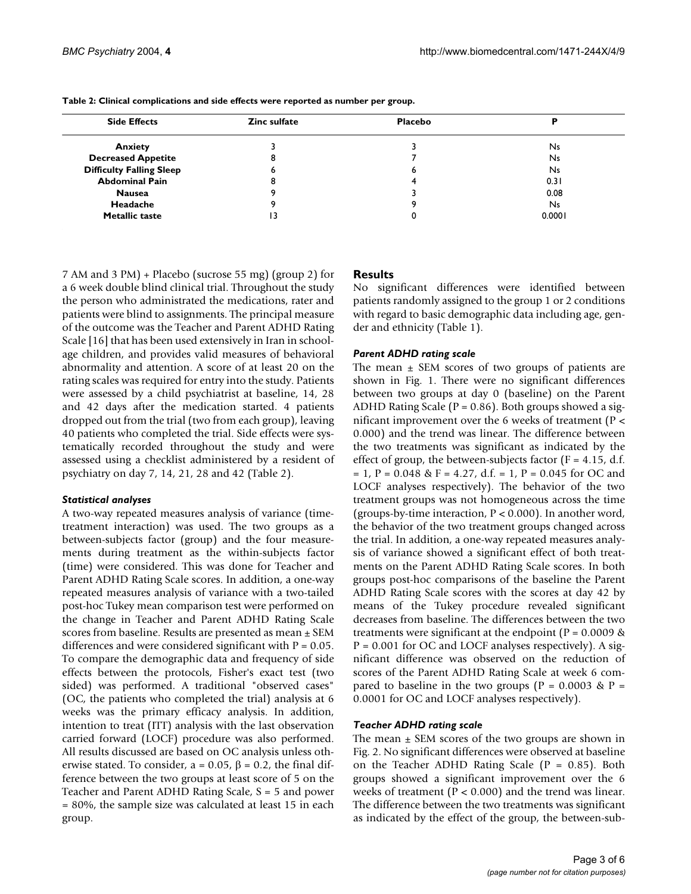| <b>Side Effects</b>             | Zinc sulfate | <b>Placebo</b> |           |
|---------------------------------|--------------|----------------|-----------|
| <b>Anxiety</b>                  |              |                | Ns        |
| <b>Decreased Appetite</b>       | o<br>ō       |                | <b>Ns</b> |
| <b>Difficulty Falling Sleep</b> | o            | o              | Ns        |
| <b>Abdominal Pain</b>           | Õ            |                | 0.31      |
| <b>Nausea</b>                   |              |                | 0.08      |
| Headache                        |              |                | <b>Ns</b> |
| <b>Metallic taste</b>           | 13           |                | 0.0001    |

**Table 2: Clinical complications and side effects were reported as number per group.**

7 AM and 3 PM) + Placebo (sucrose 55 mg) (group 2) for a 6 week double blind clinical trial. Throughout the study the person who administrated the medications, rater and patients were blind to assignments. The principal measure of the outcome was the Teacher and Parent ADHD Rating Scale [16] that has been used extensively in Iran in schoolage children, and provides valid measures of behavioral abnormality and attention. A score of at least 20 on the rating scales was required for entry into the study. Patients were assessed by a child psychiatrist at baseline, 14, 28 and 42 days after the medication started. 4 patients dropped out from the trial (two from each group), leaving 40 patients who completed the trial. Side effects were systematically recorded throughout the study and were assessed using a checklist administered by a resident of psychiatry on day 7, 14, 21, 28 and 42 (Table 2).

# *Statistical analyses*

A two-way repeated measures analysis of variance (timetreatment interaction) was used. The two groups as a between-subjects factor (group) and the four measurements during treatment as the within-subjects factor (time) were considered. This was done for Teacher and Parent ADHD Rating Scale scores. In addition, a one-way repeated measures analysis of variance with a two-tailed post-hoc Tukey mean comparison test were performed on the change in Teacher and Parent ADHD Rating Scale scores from baseline. Results are presented as mean ± SEM differences and were considered significant with  $P = 0.05$ . To compare the demographic data and frequency of side effects between the protocols, Fisher's exact test (two sided) was performed. A traditional "observed cases" (OC, the patients who completed the trial) analysis at 6 weeks was the primary efficacy analysis. In addition, intention to treat (ITT) analysis with the last observation carried forward (LOCF) procedure was also performed. All results discussed are based on OC analysis unless otherwise stated. To consider,  $a = 0.05$ ,  $\beta = 0.2$ , the final difference between the two groups at least score of 5 on the Teacher and Parent ADHD Rating Scale, S = 5 and power = 80%, the sample size was calculated at least 15 in each group.

# **Results**

No significant differences were identified between patients randomly assigned to the group 1 or 2 conditions with regard to basic demographic data including age, gender and ethnicity (Table 1).

# *Parent ADHD rating scale*

The mean  $\pm$  SEM scores of two groups of patients are shown in Fig. 1. There were no significant differences between two groups at day 0 (baseline) on the Parent ADHD Rating Scale ( $P = 0.86$ ). Both groups showed a significant improvement over the 6 weeks of treatment ( $P \le$ 0.000) and the trend was linear. The difference between the two treatments was significant as indicated by the effect of group, the between-subjects factor ( $F = 4.15$ , d.f.  $= 1$ , P = 0.048 & F = 4.27, d.f. = 1, P = 0.045 for OC and LOCF analyses respectively). The behavior of the two treatment groups was not homogeneous across the time (groups-by-time interaction, P < 0.000). In another word, the behavior of the two treatment groups changed across the trial. In addition, a one-way repeated measures analysis of variance showed a significant effect of both treatments on the Parent ADHD Rating Scale scores. In both groups post-hoc comparisons of the baseline the Parent ADHD Rating Scale scores with the scores at day 42 by means of the Tukey procedure revealed significant decreases from baseline. The differences between the two treatments were significant at the endpoint ( $P = 0.0009$  &  $P = 0.001$  for OC and LOCF analyses respectively). A significant difference was observed on the reduction of scores of the Parent ADHD Rating Scale at week 6 compared to baseline in the two groups ( $P = 0.0003$  &  $P =$ 0.0001 for OC and LOCF analyses respectively).

# *Teacher ADHD rating scale*

The mean  $\pm$  SEM scores of the two groups are shown in Fig. 2. No significant differences were observed at baseline on the Teacher ADHD Rating Scale  $(P = 0.85)$ . Both groups showed a significant improvement over the 6 weeks of treatment ( $P < 0.000$ ) and the trend was linear. The difference between the two treatments was significant as indicated by the effect of the group, the between-sub-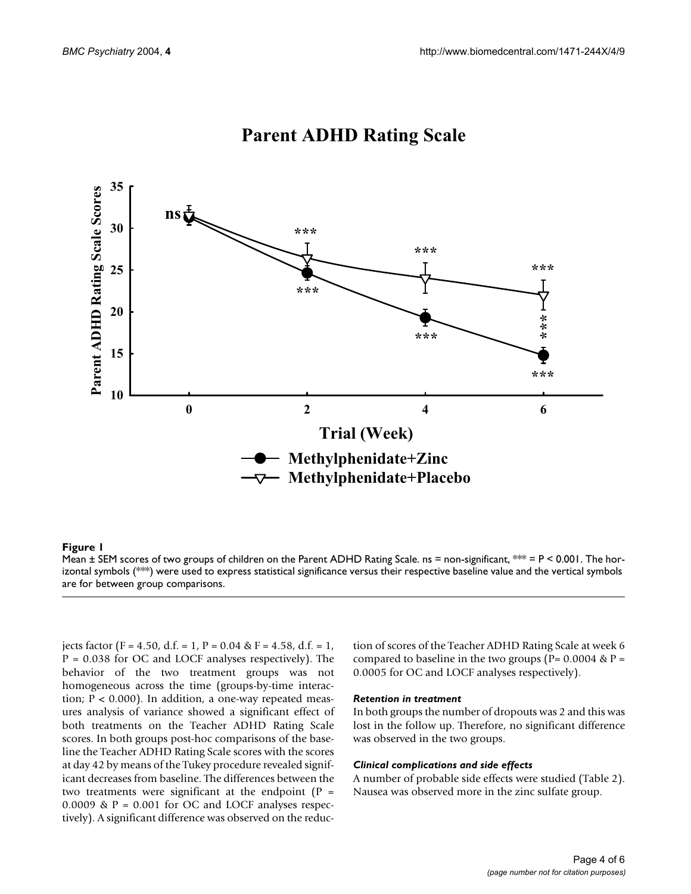

# **Parent ADHD Rating Scale**

### Mean ± SEM scores of two groups of chil **Figure 1** dren on the Parent ADHD Rating Scale

Mean  $\pm$  SEM scores of two groups of children on the Parent ADHD Rating Scale. ns = non-significant, \*\* = P < 0.001. The horizontal symbols (\*\*\*) were used to express statistical significance versus their respective baseline value and the vertical symbols are for between group comparisons.

jects factor (F = 4.50, d.f. = 1, P = 0.04 & F = 4.58, d.f. = 1, P = 0.038 for OC and LOCF analyses respectively). The behavior of the two treatment groups was not homogeneous across the time (groups-by-time interaction;  $P < 0.000$ ). In addition, a one-way repeated measures analysis of variance showed a significant effect of both treatments on the Teacher ADHD Rating Scale scores. In both groups post-hoc comparisons of the baseline the Teacher ADHD Rating Scale scores with the scores at day 42 by means of the Tukey procedure revealed significant decreases from baseline. The differences between the two treatments were significant at the endpoint  $(P =$ 0.0009 &  $P = 0.001$  for OC and LOCF analyses respectively). A significant difference was observed on the reduc-

tion of scores of the Teacher ADHD Rating Scale at week 6 compared to baseline in the two groups ( $P = 0.0004 \& P =$ 0.0005 for OC and LOCF analyses respectively).

#### *Retention in treatment*

In both groups the number of dropouts was 2 and this was lost in the follow up. Therefore, no significant difference was observed in the two groups.

### *Clinical complications and side effects*

A number of probable side effects were studied (Table 2). Nausea was observed more in the zinc sulfate group.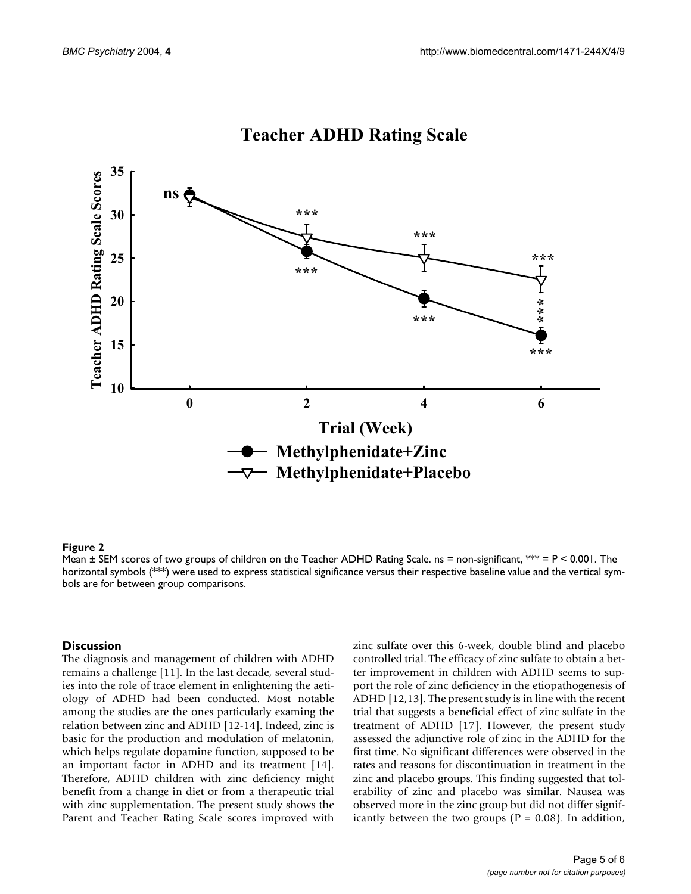

# **Teacher ADHD Rating Scale**

### $\bm{\mathsf{Figure~2}}$

Mean  $\pm$  SEM scores of two groups of children on the Teacher ADHD Rating Scale. ns = non-significant,  $** = P < 0.001$ . The horizontal symbols (\*\*\*) were used to express statistical significance versus their respective baseline value and the vertical symbols are for between group comparisons.

### **Discussion**

The diagnosis and management of children with ADHD remains a challenge [11]. In the last decade, several studies into the role of trace element in enlightening the aetiology of ADHD had been conducted. Most notable among the studies are the ones particularly examing the relation between zinc and ADHD [12-14]. Indeed, zinc is basic for the production and modulation of melatonin, which helps regulate dopamine function, supposed to be an important factor in ADHD and its treatment [14]. Therefore, ADHD children with zinc deficiency might benefit from a change in diet or from a therapeutic trial with zinc supplementation. The present study shows the Parent and Teacher Rating Scale scores improved with

zinc sulfate over this 6-week, double blind and placebo controlled trial. The efficacy of zinc sulfate to obtain a better improvement in children with ADHD seems to support the role of zinc deficiency in the etiopathogenesis of ADHD [12,13]. The present study is in line with the recent trial that suggests a beneficial effect of zinc sulfate in the treatment of ADHD [17]. However, the present study assessed the adjunctive role of zinc in the ADHD for the first time. No significant differences were observed in the rates and reasons for discontinuation in treatment in the zinc and placebo groups. This finding suggested that tolerability of zinc and placebo was similar. Nausea was observed more in the zinc group but did not differ significantly between the two groups ( $P = 0.08$ ). In addition,